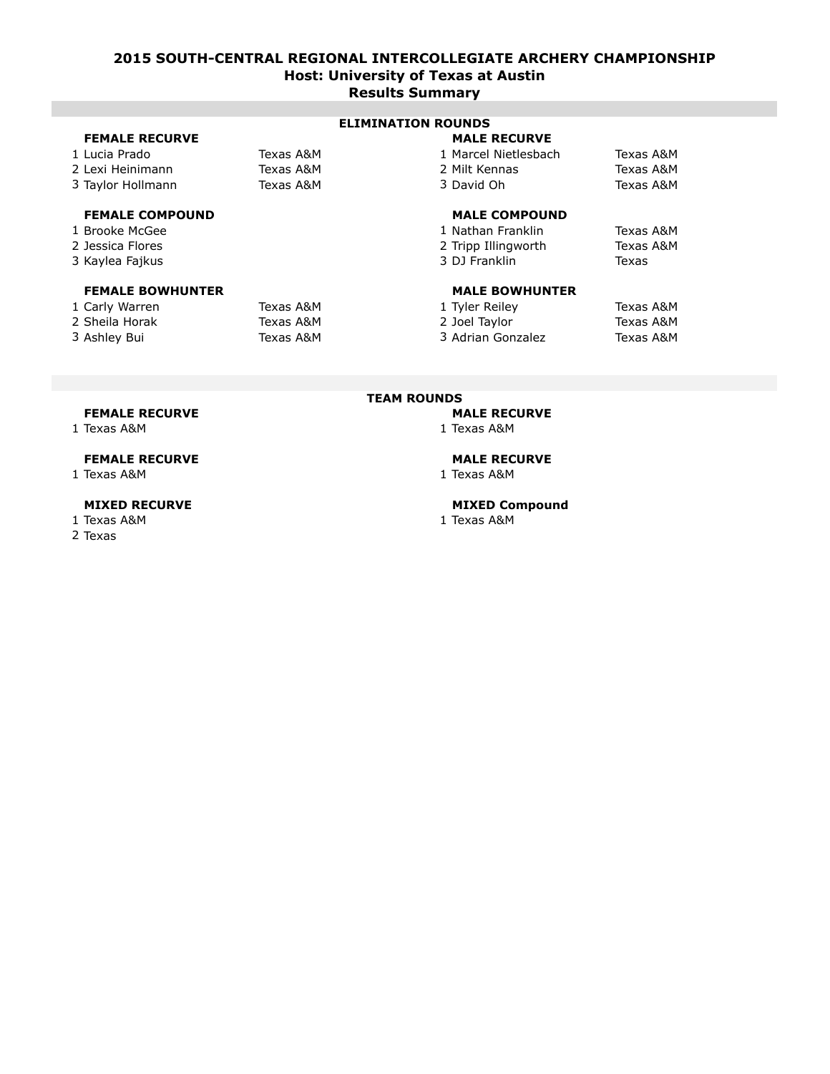### **2015 SOUTH-CENTRAL REGIONAL INTERCOLLEGIATE ARCHERY CHAMPIONSHIP Host: University of Texas at Austin Results Summary**

|                        | LLIIIIMII KOONDJ    |                      |           |
|------------------------|---------------------|----------------------|-----------|
| <b>FEMALE RECURVE</b>  | <b>MALE RECURVE</b> |                      |           |
| 1 Lucia Prado          | Texas A&M           | 1 Marcel Nietlesbach | Texas A&M |
| 2 Lexi Heinimann       | Texas A&M           | 2 Milt Kennas        | Texas A&M |
| 3 Taylor Hollmann      | Texas A&M           | 3 David Oh           | Texas A&M |
| <b>FEMALE COMPOUND</b> |                     | <b>MALE COMPOUND</b> |           |

#### 1 Brooke McGee

- 2 Jessica Flores
- 3 Kaylea Fajkus

#### **FEMALE BOWHUNTER MALE BOWHUNTER**

| 1 Carly Warren | Texas A&M | 1 Tyler Reiley    | Texas A&M |
|----------------|-----------|-------------------|-----------|
| 2 Sheila Horak | Texas A&M | 2 Joel Taylor     | Texas A&M |
| 3 Ashley Bui   | Texas A&M | 3 Adrian Gonzalez | Texas A&M |

#### **ELIMINATION ROUNDS**

| 1 Marcel Nietlesbach | Texas A&M |
|----------------------|-----------|
| 2 Milt Kennas        | Texas A&M |
| 3 David Oh           | Texas A&M |
|                      |           |
| <b>MALE COMPOUND</b> |           |
| 1 Nathan Franklin    | Texas A&M |
| 2 Tripp Illingworth  | Texas A&M |
|                      |           |
| 3 DJ Franklin        | Texas     |
|                      |           |

| l Tyler Reiley    | Texas A&M |
|-------------------|-----------|
| 2 Joel Taylor     | Texas A&M |
| 3 Adrian Gonzalez | Texas A&M |

#### **TEAM ROUNDS**

### **FEMALE RECURVE MALE RECURVE**

#### **MIXED RECURVE MIXED Compound**

1 Texas A&M 1 Texas A&M

1 Texas A&M 1 Texas A&M

#### **FEMALE RECURVE MALE RECURVE**

1 Texas A&M 1 Texas A&M

- 
- 2 Texas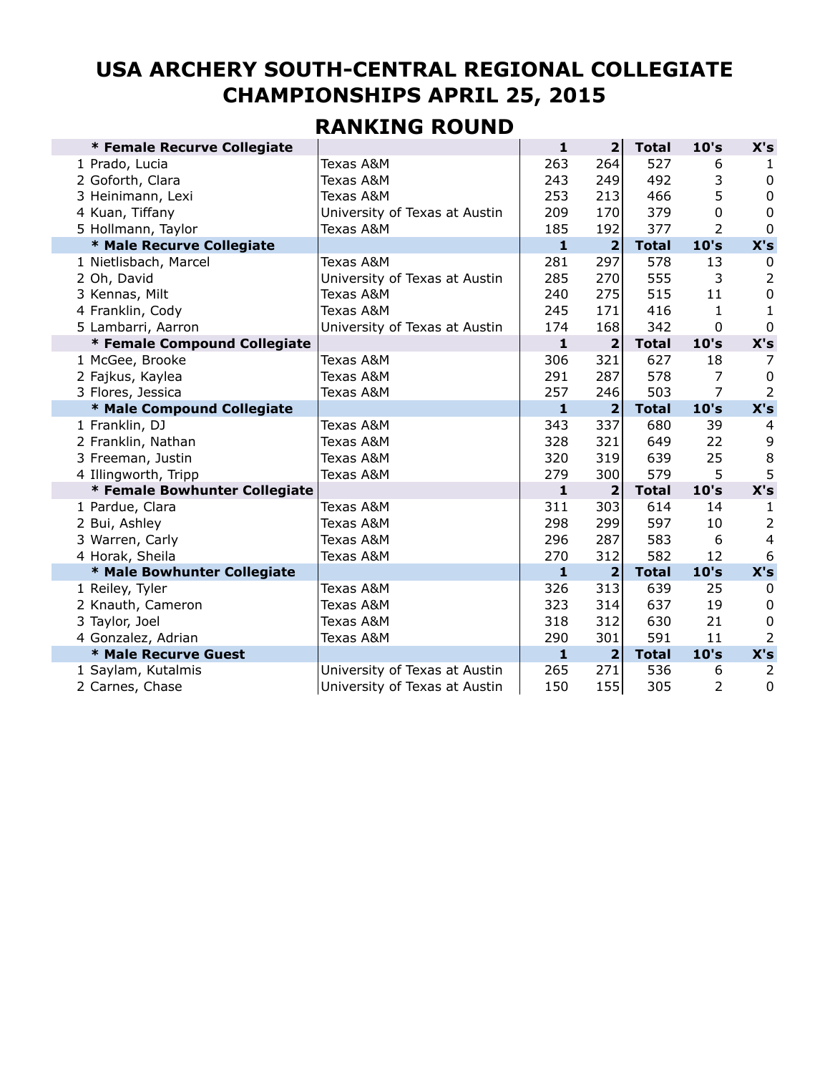# **USA ARCHERY SOUTH-CENTRAL REGIONAL COLLEGIATE CHAMPIONSHIPS APRIL 25, 2015**

## **RANKING ROUND**

| * Female Recurve Collegiate                         | $\mathbf{1}$ | $\overline{2}$          | <b>Total</b> | 10's     | X's            |
|-----------------------------------------------------|--------------|-------------------------|--------------|----------|----------------|
| 1 Prado, Lucia<br>Texas A&M                         | 263          | 264                     | 527          | 6        | $\mathbf{1}$   |
| Texas A&M<br>2 Goforth, Clara                       | 243          | 249                     | 492          | 3        | 0              |
| Texas A&M<br>3 Heinimann, Lexi                      | 253          | 213                     | 466          | 5        | $\mathbf 0$    |
| 4 Kuan, Tiffany<br>University of Texas at Austin    | 209          | 170                     | 379          | $\Omega$ | $\mathbf 0$    |
| 5 Hollmann, Taylor<br>Texas A&M                     | 185          | 192                     | 377          | 2        | $\Omega$       |
| * Male Recurve Collegiate                           | $\mathbf{1}$ | $\overline{2}$          | <b>Total</b> | 10's     | X's            |
| Texas A&M<br>1 Nietlisbach, Marcel                  | 281          | 297                     | 578          | 13       | 0              |
| 2 Oh, David<br>University of Texas at Austin        | 285          | 270                     | 555          | 3        | $\overline{2}$ |
| Texas A&M<br>3 Kennas, Milt                         | 240          | 275                     | 515          | 11       | $\mathbf 0$    |
| 4 Franklin, Cody<br>Texas A&M                       | 245          | 171                     | 416          | 1        | 1              |
| 5 Lambarri, Aarron<br>University of Texas at Austin | 174          | 168                     | 342          | 0        | 0              |
| * Female Compound Collegiate                        | $\mathbf{1}$ | 2                       | <b>Total</b> | 10's     | X's            |
| Texas A&M<br>1 McGee, Brooke                        | 306          | 321                     | 627          | 18       | 7              |
| 2 Fajkus, Kaylea<br>Texas A&M                       | 291          | 287                     | 578          | 7        | 0              |
| 3 Flores, Jessica<br>Texas A&M                      | 257          | 246                     | 503          | 7        | 2              |
| * Male Compound Collegiate                          | $\mathbf{1}$ | $\overline{\mathbf{2}}$ | <b>Total</b> | 10's     | X's            |
| 1 Franklin, DJ<br>Texas A&M                         | 343          | 337                     | 680          | 39       | 4              |
| 2 Franklin, Nathan<br>Texas A&M                     | 328          | 321                     | 649          | 22       | 9              |
| Texas A&M<br>3 Freeman, Justin                      | 320          | 319                     | 639          | 25       | 8              |
| 4 Illingworth, Tripp<br>Texas A&M                   | 279          | 300                     | 579          | 5        | 5              |
| * Female Bowhunter Collegiate                       | $\mathbf{1}$ | $\mathbf{2}$            | <b>Total</b> | 10's     | X's            |
| Texas A&M<br>1 Pardue, Clara                        | 311          | 303                     | 614          | 14       | 1              |
| Texas A&M<br>2 Bui, Ashley                          | 298          | 299                     | 597          | 10       | $\overline{2}$ |
| 3 Warren, Carly<br>Texas A&M                        | 296          | 287                     | 583          | 6        | $\overline{4}$ |
| 4 Horak, Sheila<br>Texas A&M                        | 270          | 312                     | 582          | 12       | 6              |
| * Male Bowhunter Collegiate                         | $\mathbf{1}$ | $\overline{2}$          | <b>Total</b> | 10's     | X's            |
| Texas A&M<br>1 Reiley, Tyler                        | 326          | 313                     | 639          | 25       | $\Omega$       |
| 2 Knauth, Cameron<br>Texas A&M                      | 323          | 314                     | 637          | 19       | 0              |
| 3 Taylor, Joel<br>Texas A&M                         | 318          | 312                     | 630          | 21       | 0              |
| 4 Gonzalez, Adrian<br>Texas A&M                     | 290          | 301                     | 591          | 11       | 2              |
| * Male Recurve Guest                                | $\mathbf{1}$ | $\mathbf{2}$            | <b>Total</b> | 10's     | X's            |
| 1 Saylam, Kutalmis<br>University of Texas at Austin | 265          | 271                     | 536          | 6        | 2              |
| 2 Carnes, Chase<br>University of Texas at Austin    | 150          | 155                     | 305          | 2        | 0              |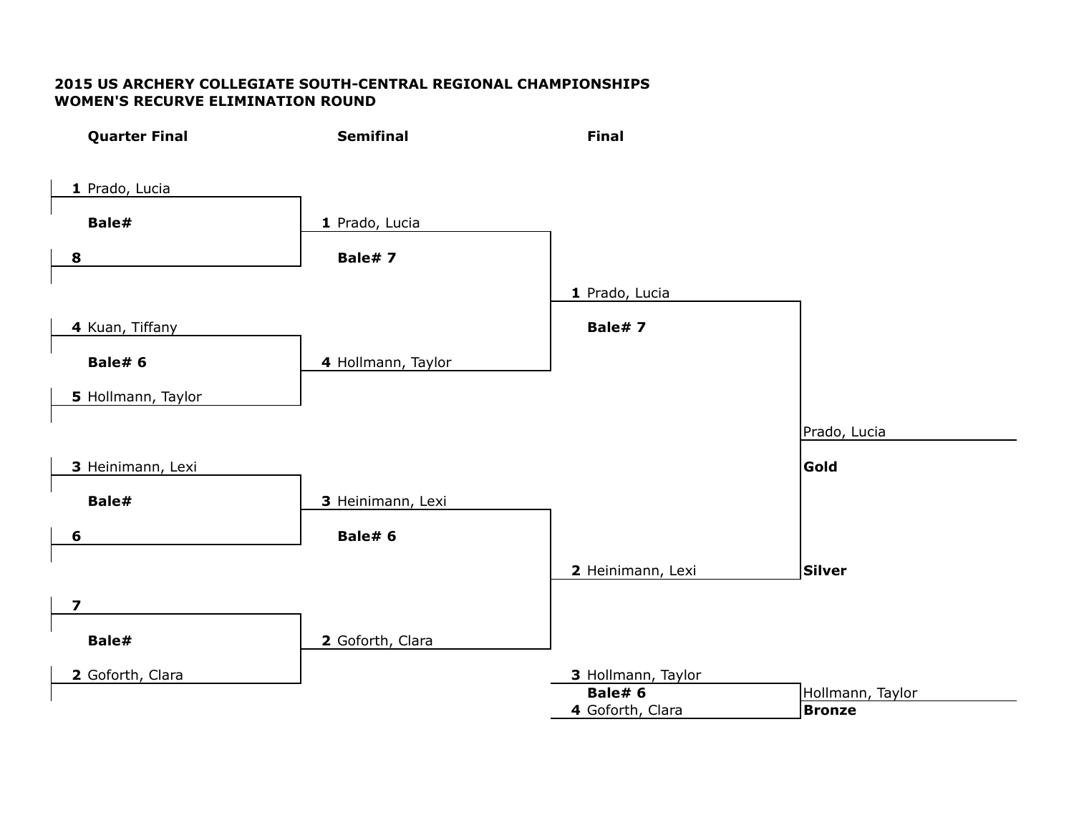### **2015 US ARCHERY COLLEGIATE SOUTH-CENTRAL REGIONAL CHAMPIONSHIPS WOMEN'S RECURVE ELIMINATION ROUND**

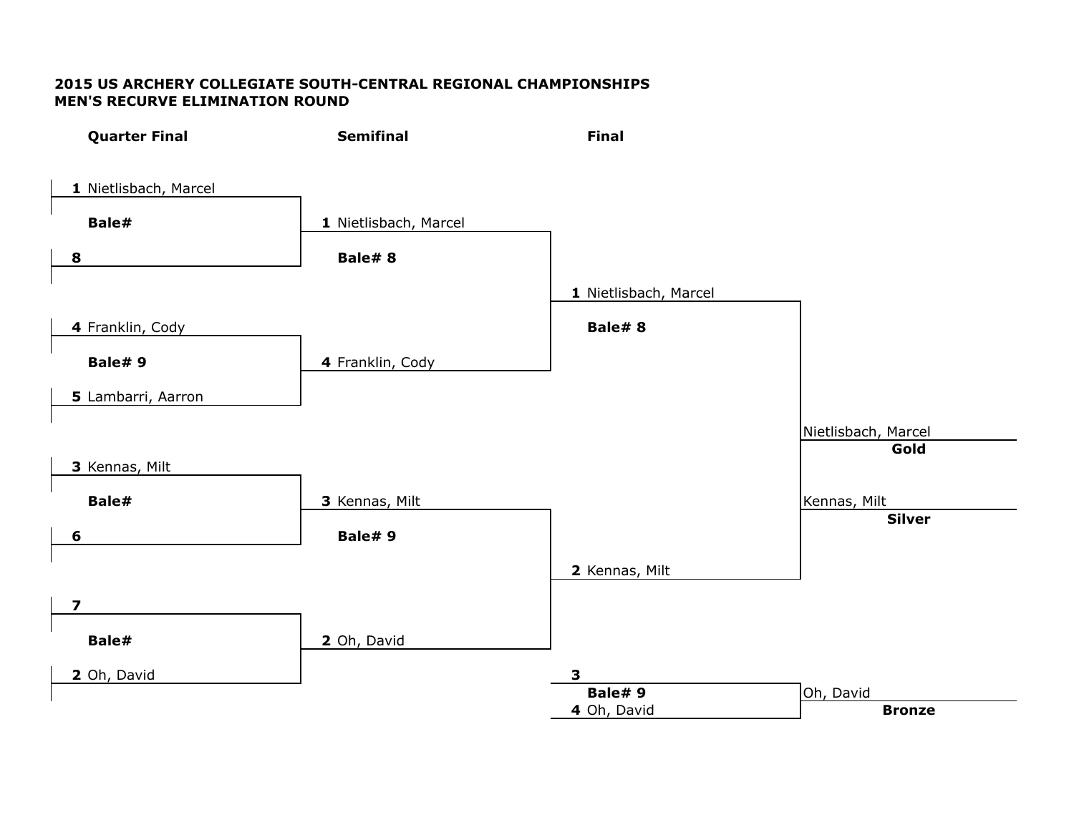### **2015 US ARCHERY COLLEGIATE SOUTH-CENTRAL REGIONAL CHAMPIONSHIPS MEN'S RECURVE ELIMINATION ROUND**

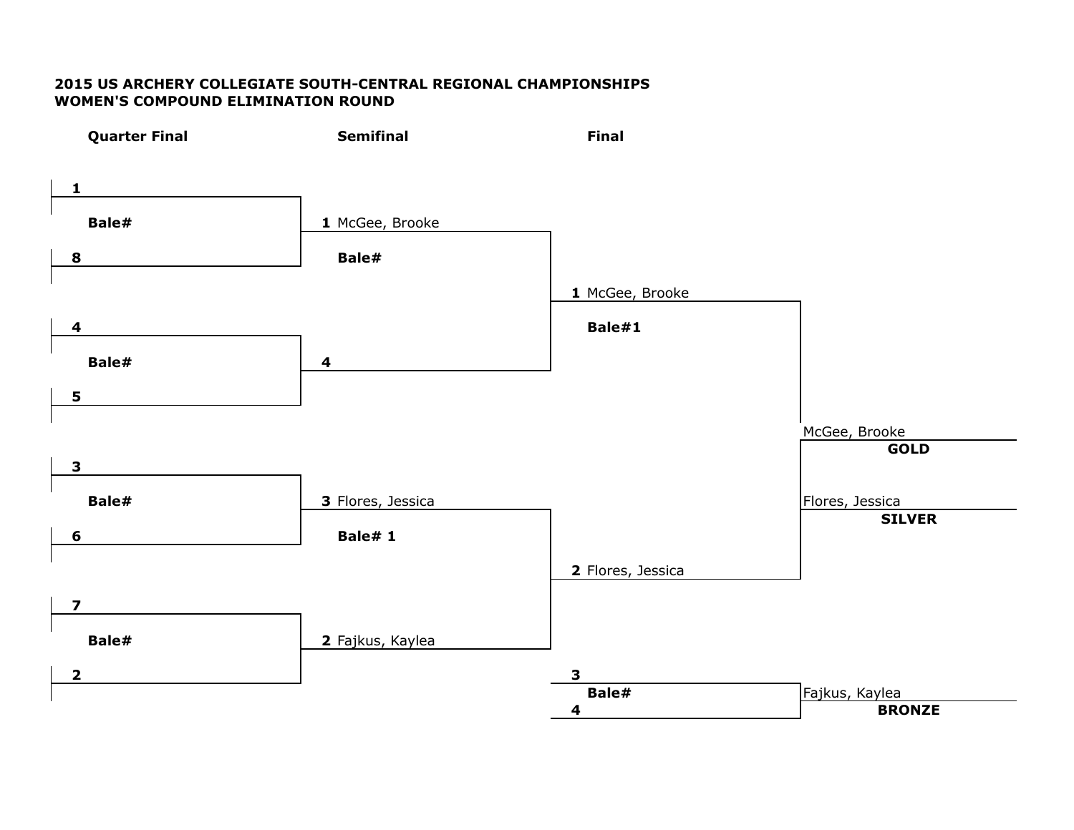### **2015 US ARCHERY COLLEGIATE SOUTH-CENTRAL REGIONAL CHAMPIONSHIPS WOMEN'S COMPOUND ELIMINATION ROUND**

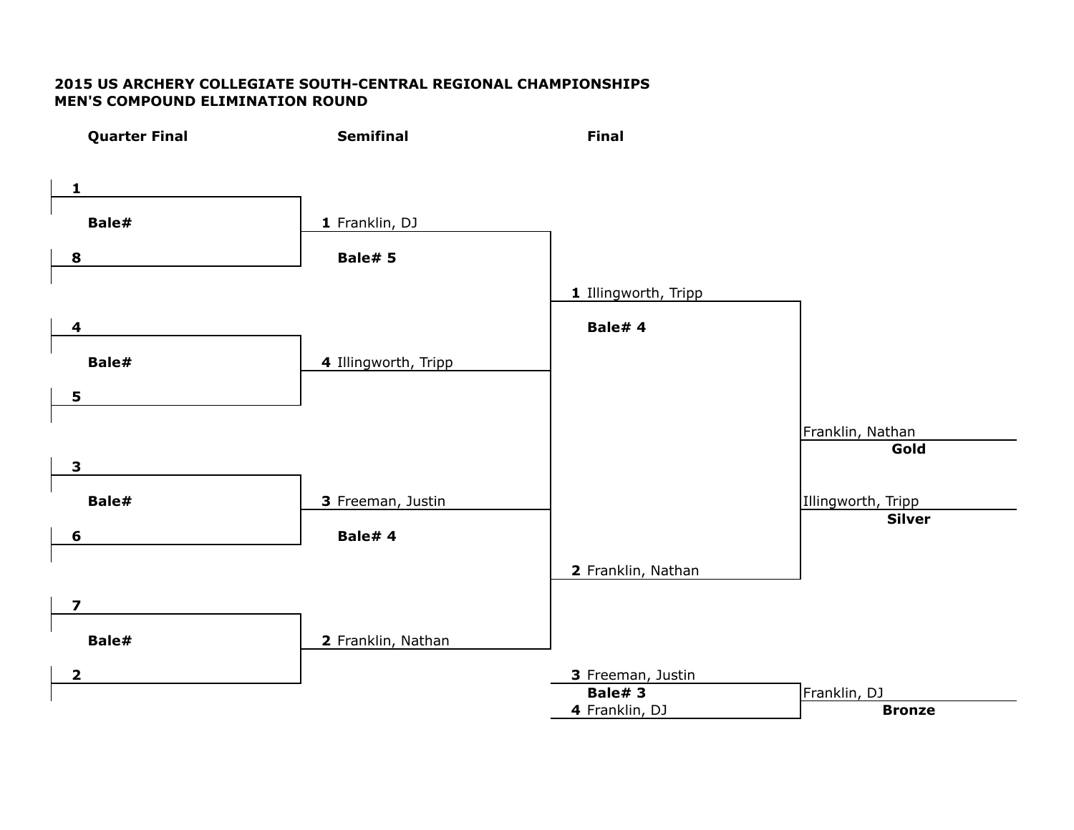### **2015 US ARCHERY COLLEGIATE SOUTH-CENTRAL REGIONAL CHAMPIONSHIPS MEN'S COMPOUND ELIMINATION ROUND**

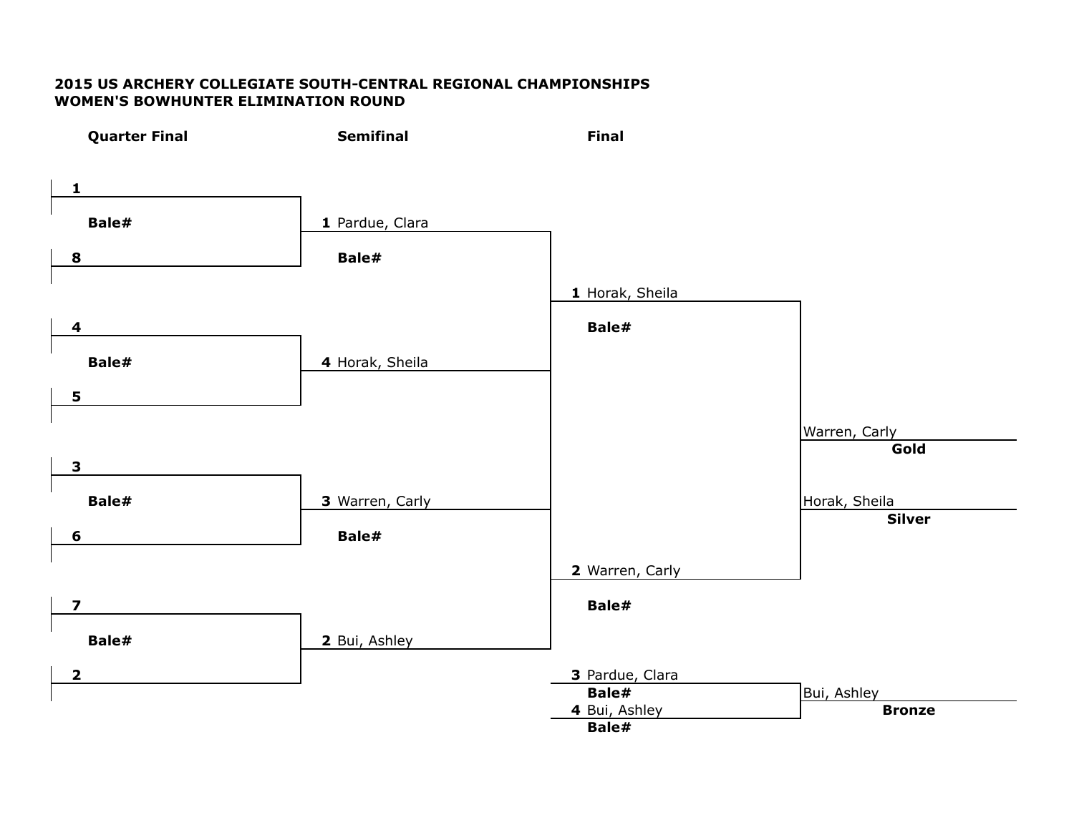#### **2015 US ARCHERY COLLEGIATE SOUTH-CENTRAL REGIONAL CHAMPIONSHIPS WOMEN'S BOWHUNTER ELIMINATION ROUND**